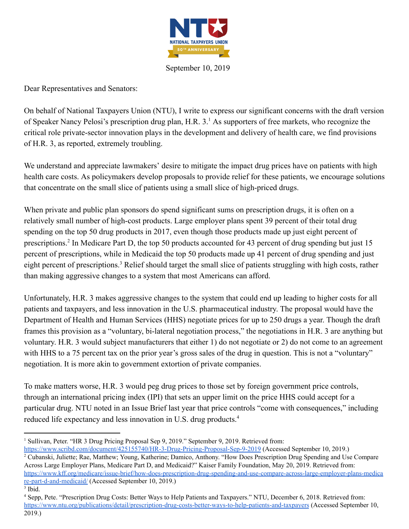

September 10, 2019

Dear Representatives and Senators:

On behalf of National Taxpayers Union (NTU), I write to express our significant concerns with the draft version of Speaker Nancy Pelosi's prescription drug plan, H.R.  $3<sup>1</sup>$  As supporters of free markets, who recognize the critical role private-sector innovation plays in the development and delivery of health care, we find provisions of H.R. 3, as reported, extremely troubling.

We understand and appreciate lawmakers' desire to mitigate the impact drug prices have on patients with high health care costs. As policymakers develop proposals to provide relief for these patients, we encourage solutions that concentrate on the small slice of patients using a small slice of high-priced drugs.

When private and public plan sponsors do spend significant sums on prescription drugs, it is often on a relatively small number of high-cost products. Large employer plans spent 39 percent of their total drug spending on the top 50 drug products in 2017, even though those products made up just eight percent of prescriptions.<sup>2</sup> In Medicare Part D, the top 50 products accounted for 43 percent of drug spending but just  $15$ percent of prescriptions, while in Medicaid the top 50 products made up 41 percent of drug spending and just eight percent of prescriptions.<sup>3</sup> Relief should target the small slice of patients struggling with high costs, rather than making aggressive changes to a system that most Americans can afford.

Unfortunately, H.R. 3 makes aggressive changes to the system that could end up leading to higher costs for all patients and taxpayers, and less innovation in the U.S. pharmaceutical industry. The proposal would have the Department of Health and Human Services (HHS) negotiate prices for up to 250 drugs a year. Though the draft frames this provision as a "voluntary, bi-lateral negotiation process," the negotiations in H.R. 3 are anything but voluntary. H.R. 3 would subject manufacturers that either 1) do not negotiate or 2) do not come to an agreement with HHS to a 75 percent tax on the prior year's gross sales of the drug in question. This is not a "voluntary" negotiation. It is more akin to government extortion of private companies.

To make matters worse, H.R. 3 would peg drug prices to those set by foreign government price controls, through an international pricing index (IPI) that sets an upper limit on the price HHS could accept for a particular drug. NTU noted in an Issue Brief last year that price controls "come with consequences," including reduced life expectancy and less innovation in U.S. drug products.<sup>4</sup>

<sup>&</sup>lt;sup>1</sup> Sullivan, Peter. "HR 3 Drug Pricing Proposal Sep 9, 2019." September 9, 2019. Retrieved from:

https://www.scribd.com/document/425155740/HR-3-Drug-Pricing-Proposal-Sep-9-2019 (Accessed September 10, 2019.) <sup>2</sup> Cubanski, Juliette; Rae, Matthew; Young, Katherine; Damico, Anthony. "How Does Prescription Drug Spending and Use Compare Across Large Employer Plans, Medicare Part D, and Medicaid?" Kaiser Family Foundation, May 20, 2019. Retrieved from: https://www.kff.org/medicare/issue-brief/how-does-prescription-drug-spending-and-use-compare-across-large-employer-plans-medica re-part-d-and-medicaid/ (Accessed September 10, 2019.)

 $3$  Ibid.

<sup>4</sup> Sepp, Pete. "Prescription Drug Costs: Better Ways to Help Patients and Taxpayers." NTU, December 6, 2018. Retrieved from: https://www.ntu.org/publications/detail/prescription-drug-costs-better-ways-to-help-patients-and-taxpayers (Accessed September 10, 2019.)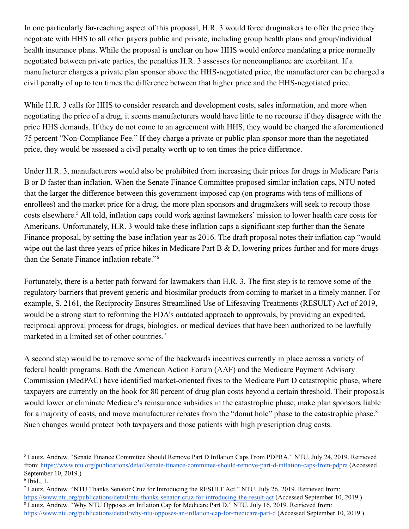In one particularly far-reaching aspect of this proposal, H.R. 3 would force drugmakers to offer the price they negotiate with HHS to all other payers public and private, including group health plans and group/individual health insurance plans. While the proposal is unclear on how HHS would enforce mandating a price normally negotiated between private parties, the penalties H.R. 3 assesses for noncompliance are exorbitant. If a manufacturer charges a private plan sponsor above the HHS-negotiated price, the manufacturer can be charged a civil penalty of up to ten times the difference between that higher price and the HHS-negotiated price.

While H.R. 3 calls for HHS to consider research and development costs, sales information, and more when negotiating the price of a drug, it seems manufacturers would have little to no recourse if they disagree with the price HHS demands. If they do not come to an agreement with HHS, they would be charged the aforementioned 75 percent "Non-Compliance Fee." If they charge a private or public plan sponsor more than the negotiated price, they would be assessed a civil penalty worth up to ten times the price difference.

Under H.R. 3, manufacturers would also be prohibited from increasing their prices for drugs in Medicare Parts B or D faster than inflation. When the Senate Finance Committee proposed similar inflation caps, NTU noted that the larger the difference between this government-imposed cap (on programs with tens of millions of enrollees) and the market price for a drug, the more plan sponsors and drugmakers will seek to recoup those costs elsewhere.<sup>5</sup> All told, inflation caps could work against lawmakers' mission to lower health care costs for Americans. Unfortunately, H.R. 3 would take these inflation caps a significant step further than the Senate Finance proposal, by setting the base inflation year as 2016. The draft proposal notes their inflation cap "would wipe out the last three years of price hikes in Medicare Part B  $\&$  D, lowering prices further and for more drugs than the Senate Finance inflation rebate."<sup>6</sup>

Fortunately, there is a better path forward for lawmakers than H.R. 3. The first step is to remove some of the regulatory barriers that prevent generic and biosimilar products from coming to market in a timely manner. For example, S. 2161, the Reciprocity Ensures Streamlined Use of Lifesaving Treatments (RESULT) Act of 2019, would be a strong start to reforming the FDA's outdated approach to approvals, by providing an expedited, reciprocal approval process for drugs, biologics, or medical devices that have been authorized to be lawfully marketed in a limited set of other countries.<sup>7</sup>

A second step would be to remove some of the backwards incentives currently in place across a variety of federal health programs. Both the American Action Forum (AAF) and the Medicare Payment Advisory Commission (MedPAC) have identified market-oriented fixes to the Medicare Part D catastrophic phase, where taxpayers are currently on the hook for 80 percent of drug plan costs beyond a certain threshold. Their proposals would lower or eliminate Medicare's reinsurance subsidies in the catastrophic phase, make plan sponsors liable for a majority of costs, and move manufacturer rebates from the "donut hole" phase to the catastrophic phase.<sup>8</sup> Such changes would protect both taxpayers and those patients with high prescription drug costs.

<sup>5</sup> Lautz, Andrew. "Senate Finance Committee Should Remove Part D Inflation Caps From PDPRA." NTU, July 24, 2019. Retrieved from: https://www.ntu.org/publications/detail/senate-finance-committee-should-remove-part-d-inflation-caps-from-pdpra (Accessed September 10, 2019.)

 $6$  Ibid., 1.

<sup>7</sup> Lautz, Andrew. "NTU Thanks Senator Cruz for Introducing the RESULT Act." NTU, July 26, 2019. Retrieved from: https://www.ntu.org/publications/detail/ntu-thanks-senator-cruz-for-introducing-the-result-act (Accessed September 10, 2019.) <sup>8</sup> Lautz, Andrew. "Why NTU Opposes an Inflation Cap for Medicare Part D." NTU, July 16, 2019. Retrieved from: https://www.ntu.org/publications/detail/why-ntu-opposes-an-inflation-cap-for-medicare-part-d (Accessed September 10, 2019.)